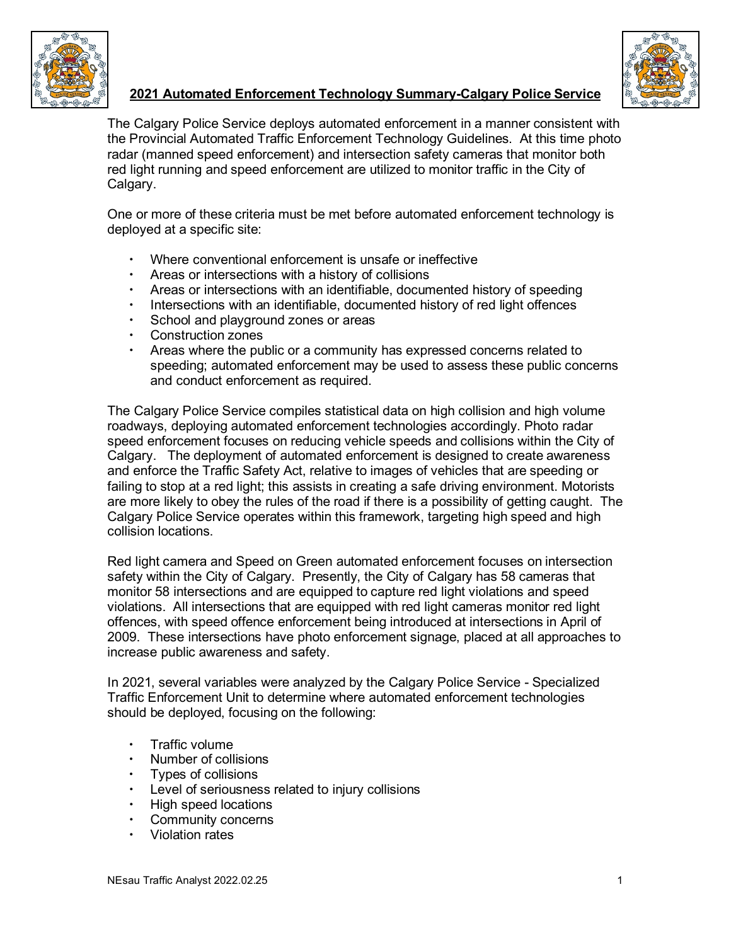



# **2021 Automated Enforcement Technology Summary-Calgary Police Service**

The Calgary Police Service deploys automated enforcement in a manner consistent with the Provincial Automated Traffic Enforcement Technology Guidelines. At this time photo radar (manned speed enforcement) and intersection safety cameras that monitor both red light running and speed enforcement are utilized to monitor traffic in the City of Calgary.

One or more of these criteria must be met before automated enforcement technology is deployed at a specific site:

- Where conventional enforcement is unsafe or ineffective
- Areas or intersections with a history of collisions
- Areas or intersections with an identifiable, documented history of speeding
- $\cdot$  Intersections with an identifiable, documented history of red light offences
- School and playground zones or areas
- Construction zones
- Areas where the public or a community has expressed concerns related to speeding; automated enforcement may be used to assess these public concerns and conduct enforcement as required.

The Calgary Police Service compiles statistical data on high collision and high volume roadways, deploying automated enforcement technologies accordingly. Photo radar speed enforcement focuses on reducing vehicle speeds and collisions within the City of Calgary. The deployment of automated enforcement is designed to create awareness and enforce the Traffic Safety Act, relative to images of vehicles that are speeding or failing to stop at a red light; this assists in creating a safe driving environment. Motorists are more likely to obey the rules of the road if there is a possibility of getting caught. The Calgary Police Service operates within this framework, targeting high speed and high collision locations.

Red light camera and Speed on Green automated enforcement focuses on intersection safety within the City of Calgary. Presently, the City of Calgary has 58 cameras that monitor 58 intersections and are equipped to capture red light violations and speed violations. All intersections that are equipped with red light cameras monitor red light offences, with speed offence enforcement being introduced at intersections in April of 2009. These intersections have photo enforcement signage, placed at all approaches to increase public awareness and safety.

In 2021, several variables were analyzed by the Calgary Police Service - Specialized Traffic Enforcement Unit to determine where automated enforcement technologies should be deployed, focusing on the following:

- Traffic volume
- Number of collisions
- Types of collisions
- Level of seriousness related to injury collisions<br>• High speed locations
- High speed locations
- Community concerns
- Violation rates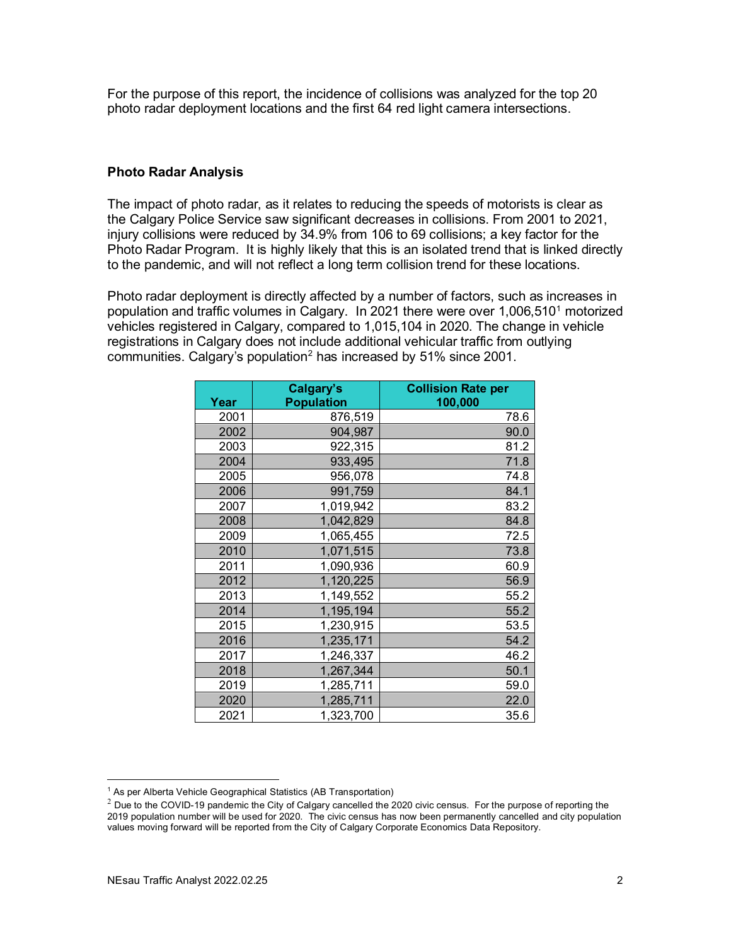For the purpose of this report, the incidence of collisions was analyzed for the top 20 photo radar deployment locations and the first 64 red light camera intersections.

### **Photo Radar Analysis**

The impact of photo radar, as it relates to reducing the speeds of motorists is clear as the Calgary Police Service saw significant decreases in collisions. From 2001 to 2021, injury collisions were reduced by 34.9% from 106 to 69 collisions; a key factor for the Photo Radar Program. It is highly likely that this is an isolated trend that is linked directly to the pandemic, and will not reflect a long term collision trend for these locations.

Photo radar deployment is directly affected by a number of factors, such as increases in population and traffic volumes in Calgary. In 202[1](#page-1-0) there were over  $1,006,510<sup>1</sup>$  motorized vehicles registered in Calgary, compared to 1,015,104 in 2020. The change in vehicle registrations in Calgary does not include additional vehicular traffic from outlying communities. Calgary's population<sup>[2](#page-1-1)</sup> has increased by 51% since 2001.

|      | Calgary's         | <b>Collision Rate per</b> |
|------|-------------------|---------------------------|
| Year | <b>Population</b> | 100,000                   |
| 2001 | 876,519           | 78.6                      |
| 2002 | 904,987           | 90.0                      |
| 2003 | 922,315           | 81.2                      |
| 2004 | 933,495           | 71.8                      |
| 2005 | 956,078           | 74.8                      |
| 2006 | 991,759           | 84.1                      |
| 2007 | 1,019,942         | 83.2                      |
| 2008 | 1,042,829         | 84.8                      |
| 2009 | 1,065,455         | 72.5                      |
| 2010 | 1,071,515         | 73.8                      |
| 2011 | 1,090,936         | 60.9                      |
| 2012 | 1,120,225         | 56.9                      |
| 2013 | 1,149,552         | 55.2                      |
| 2014 | 1,195,194         | 55.2                      |
| 2015 | 1,230,915         | 53.5                      |
| 2016 | 1,235,171         | 54.2                      |
| 2017 | 1,246,337         | 46.2                      |
| 2018 | 1,267,344         | 50.1                      |
| 2019 | 1,285,711         | 59.0                      |
| 2020 | 1,285,711         | 22.0                      |
| 2021 | 1,323,700         | 35.6                      |

<span id="page-1-0"></span><sup>&</sup>lt;sup>1</sup> As per Alberta Vehicle Geographical Statistics (AB Transportation)

<span id="page-1-1"></span> $2$  Due to the COVID-19 pandemic the City of Calgary cancelled the 2020 civic census. For the purpose of reporting the 2019 population number will be used for 2020. The civic census has now been permanently cancelled and city population values moving forward will be reported from the City of Calgary Corporate Economics Data Repository.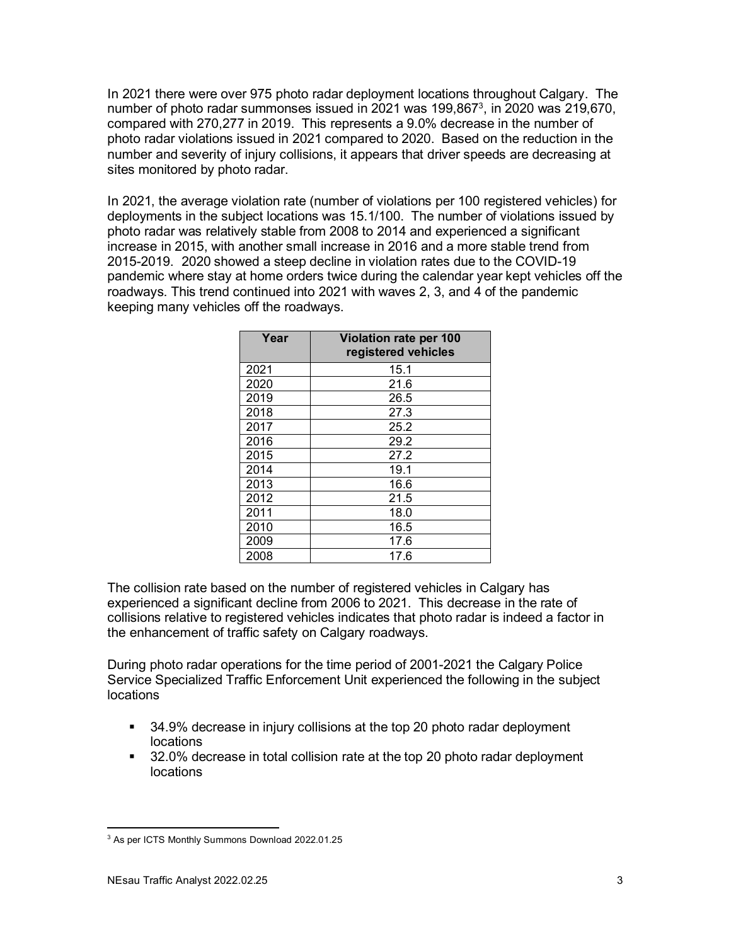In 2021 there were over 975 photo radar deployment locations throughout Calgary. The number of photo radar summonses issued in 2021 was 199,86[73](#page-2-0), in 2020 was 219,670, compared with 270,277 in 2019. This represents a 9.0% decrease in the number of photo radar violations issued in 2021 compared to 2020. Based on the reduction in the number and severity of injury collisions, it appears that driver speeds are decreasing at sites monitored by photo radar.

In 2021, the average violation rate (number of violations per 100 registered vehicles) for deployments in the subject locations was 15.1/100. The number of violations issued by photo radar was relatively stable from 2008 to 2014 and experienced a significant increase in 2015, with another small increase in 2016 and a more stable trend from 2015-2019. 2020 showed a steep decline in violation rates due to the COVID-19 pandemic where stay at home orders twice during the calendar year kept vehicles off the roadways. This trend continued into 2021 with waves 2, 3, and 4 of the pandemic keeping many vehicles off the roadways.

| Year | Violation rate per 100<br>registered vehicles |  |  |  |  |  |
|------|-----------------------------------------------|--|--|--|--|--|
| 2021 | 15.1                                          |  |  |  |  |  |
| 2020 | 21.6                                          |  |  |  |  |  |
| 2019 | 26.5                                          |  |  |  |  |  |
| 2018 | 27.3                                          |  |  |  |  |  |
| 2017 | 25.2                                          |  |  |  |  |  |
| 2016 | 29.2                                          |  |  |  |  |  |
| 2015 | 27.2                                          |  |  |  |  |  |
| 2014 | 19.1                                          |  |  |  |  |  |
| 2013 | 16.6                                          |  |  |  |  |  |
| 2012 | 21.5                                          |  |  |  |  |  |
| 2011 | 18.0                                          |  |  |  |  |  |
| 2010 | 16.5                                          |  |  |  |  |  |
| 2009 | 17.6                                          |  |  |  |  |  |
| 2008 | 17.6                                          |  |  |  |  |  |

The collision rate based on the number of registered vehicles in Calgary has experienced a significant decline from 2006 to 2021. This decrease in the rate of collisions relative to registered vehicles indicates that photo radar is indeed a factor in the enhancement of traffic safety on Calgary roadways.

During photo radar operations for the time period of 2001-2021 the Calgary Police Service Specialized Traffic Enforcement Unit experienced the following in the subject locations

- 34.9% decrease in injury collisions at the top 20 photo radar deployment locations
- 32.0% decrease in total collision rate at the top 20 photo radar deployment locations

<span id="page-2-0"></span><sup>3</sup> As per ICTS Monthly Summons Download 2022.01.25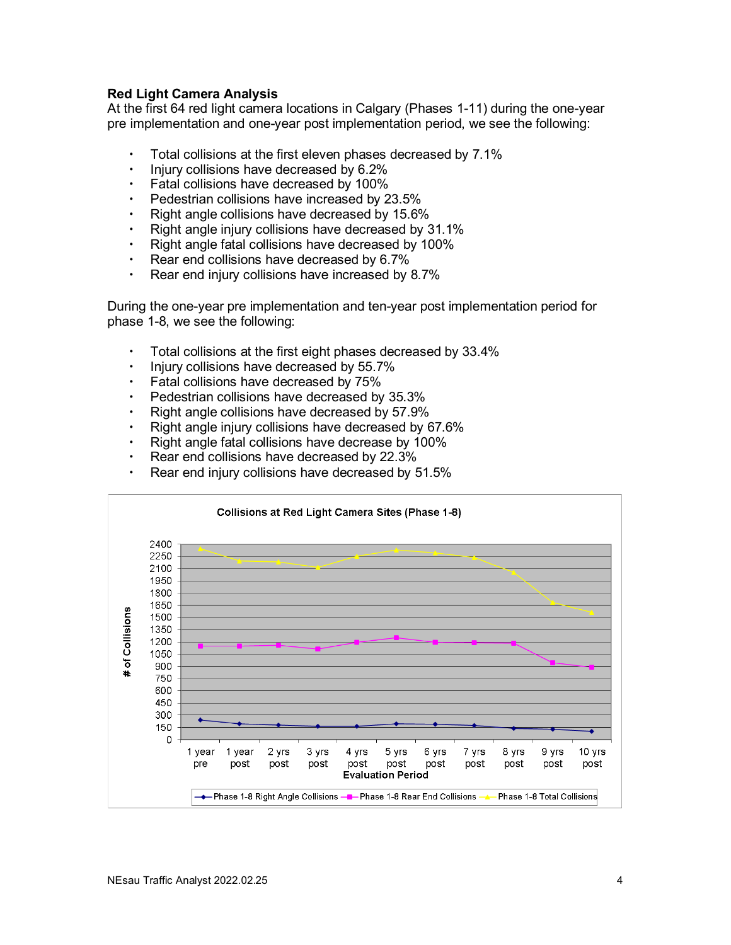# **Red Light Camera Analysis**

At the first 64 red light camera locations in Calgary (Phases 1-11) during the one-year pre implementation and one-year post implementation period, we see the following:

- Total collisions at the first eleven phases decreased by 7.1%
- $\cdot$  Injury collisions have decreased by 6.2%
- Fatal collisions have decreased by 100%
- Pedestrian collisions have increased by 23.5%
- Right angle collisions have decreased by 15.6%
- $\cdot$  Right angle injury collisions have decreased by 31.1%
- Right angle fatal collisions have decreased by 100%
- $\cdot$  Rear end collisions have decreased by 6.7%
- $\cdot$  Rear end injury collisions have increased by 8.7%

During the one-year pre implementation and ten-year post implementation period for phase 1-8, we see the following:

- Total collisions at the first eight phases decreased by 33.4%
- $\cdot$  Injury collisions have decreased by 55.7%
- Fatal collisions have decreased by 75%
- Pedestrian collisions have decreased by 35.3%
- $\cdot$  Right angle collisions have decreased by 57.9%
- Right angle injury collisions have decreased by 67.6%
- $\cdot$  Right angle fatal collisions have decrease by 100%
- $\cdot$  Rear end collisions have decreased by 22.3%
- Rear end injury collisions have decreased by 51.5%

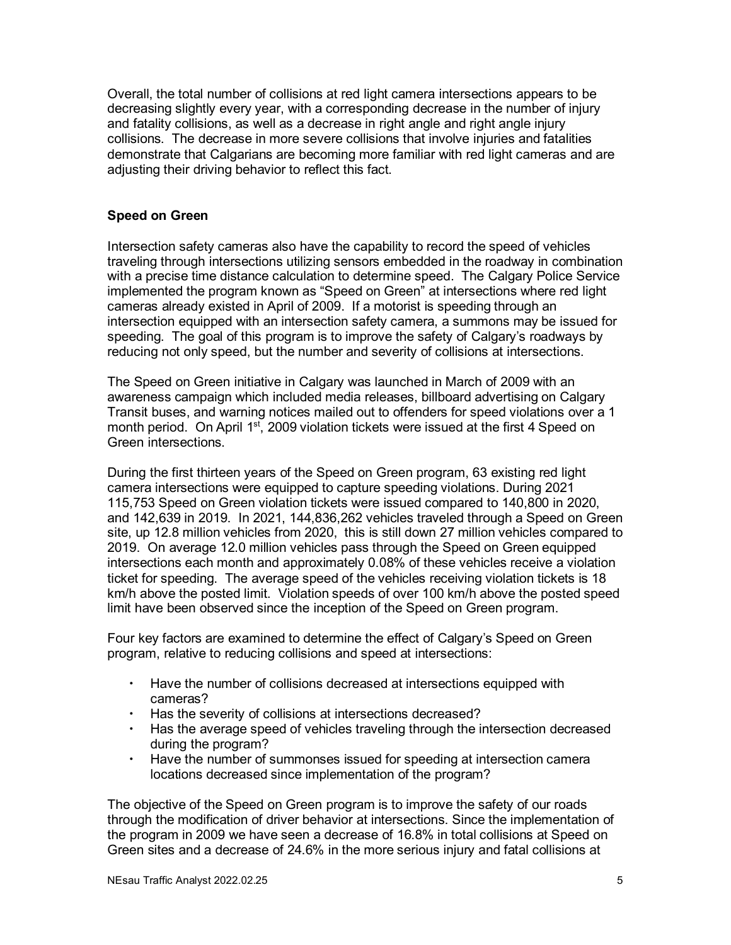Overall, the total number of collisions at red light camera intersections appears to be decreasing slightly every year, with a corresponding decrease in the number of injury and fatality collisions, as well as a decrease in right angle and right angle injury collisions. The decrease in more severe collisions that involve injuries and fatalities demonstrate that Calgarians are becoming more familiar with red light cameras and are adjusting their driving behavior to reflect this fact.

## **Speed on Green**

Intersection safety cameras also have the capability to record the speed of vehicles traveling through intersections utilizing sensors embedded in the roadway in combination with a precise time distance calculation to determine speed. The Calgary Police Service implemented the program known as "Speed on Green" at intersections where red light cameras already existed in April of 2009. If a motorist is speeding through an intersection equipped with an intersection safety camera, a summons may be issued for speeding. The goal of this program is to improve the safety of Calgary's roadways by reducing not only speed, but the number and severity of collisions at intersections.

The Speed on Green initiative in Calgary was launched in March of 2009 with an awareness campaign which included media releases, billboard advertising on Calgary Transit buses, and warning notices mailed out to offenders for speed violations over a 1 month period. On April 1<sup>st</sup>, 2009 violation tickets were issued at the first 4 Speed on Green intersections.

During the first thirteen years of the Speed on Green program, 63 existing red light camera intersections were equipped to capture speeding violations. During 2021 115,753 Speed on Green violation tickets were issued compared to 140,800 in 2020, and 142,639 in 2019. In 2021, 144,836,262 vehicles traveled through a Speed on Green site, up 12.8 million vehicles from 2020, this is still down 27 million vehicles compared to 2019. On average 12.0 million vehicles pass through the Speed on Green equipped intersections each month and approximately 0.08% of these vehicles receive a violation ticket for speeding. The average speed of the vehicles receiving violation tickets is 18 km/h above the posted limit. Violation speeds of over 100 km/h above the posted speed limit have been observed since the inception of the Speed on Green program.

Four key factors are examined to determine the effect of Calgary's Speed on Green program, relative to reducing collisions and speed at intersections:

- Have the number of collisions decreased at intersections equipped with cameras?
- Has the severity of collisions at intersections decreased?
- Has the average speed of vehicles traveling through the intersection decreased during the program?
- Have the number of summonses issued for speeding at intersection camera locations decreased since implementation of the program?

The objective of the Speed on Green program is to improve the safety of our roads through the modification of driver behavior at intersections. Since the implementation of the program in 2009 we have seen a decrease of 16.8% in total collisions at Speed on Green sites and a decrease of 24.6% in the more serious injury and fatal collisions at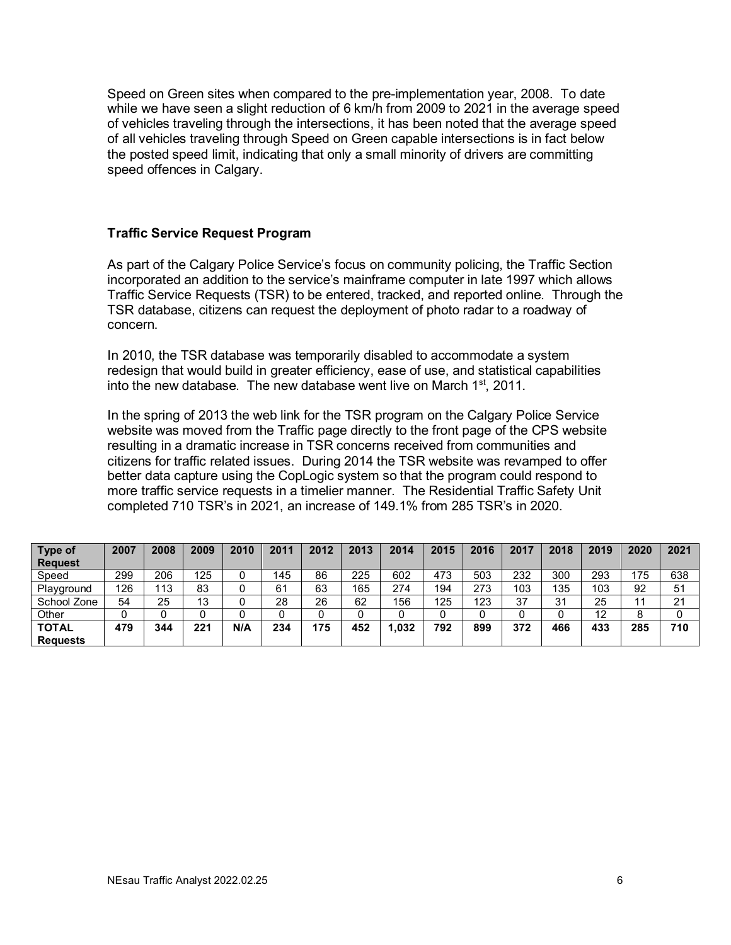Speed on Green sites when compared to the pre-implementation year, 2008. To date while we have seen a slight reduction of 6 km/h from 2009 to 2021 in the average speed of vehicles traveling through the intersections, it has been noted that the average speed of all vehicles traveling through Speed on Green capable intersections is in fact below the posted speed limit, indicating that only a small minority of drivers are committing speed offences in Calgary.

#### **Traffic Service Request Program**

As part of the Calgary Police Service's focus on community policing, the Traffic Section incorporated an addition to the service's mainframe computer in late 1997 which allows Traffic Service Requests (TSR) to be entered, tracked, and reported online. Through the TSR database, citizens can request the deployment of photo radar to a roadway of concern.

In 2010, the TSR database was temporarily disabled to accommodate a system redesign that would build in greater efficiency, ease of use, and statistical capabilities into the new database. The new database went live on March  $1<sup>st</sup>$ , 2011.

In the spring of 2013 the web link for the TSR program on the Calgary Police Service website was moved from the Traffic page directly to the front page of the CPS website resulting in a dramatic increase in TSR concerns received from communities and citizens for traffic related issues. During 2014 the TSR website was revamped to offer better data capture using the CopLogic system so that the program could respond to more traffic service requests in a timelier manner. The Residential Traffic Safety Unit completed 710 TSR's in 2021, an increase of 149.1% from 285 TSR's in 2020.

| Type of         | 2007 | 2008 | 2009 | 2010 | 2011 | 2012 | 2013 | 2014 | 2015 | 2016 | 2017 | 2018 | 2019 | 2020 | 2021 |
|-----------------|------|------|------|------|------|------|------|------|------|------|------|------|------|------|------|
| <b>Request</b>  |      |      |      |      |      |      |      |      |      |      |      |      |      |      |      |
| Speed           | 299  | 206  | 125  |      | 145  | 86   | 225  | 602  | 473  | 503  | 232  | 300  | 293  | 175  | 638  |
| Playground      | 126  | 13   | 83   |      | 61   | 63   | 165  | 274  | 194  | 273  | 103  | 135  | 103  | 92   | 51   |
| School Zone     | 54   | 25   | 13   |      | 28   | 26   | 62   | 156  | 125  | 123  | 37   | 31   | 25   | 11   | 21   |
| Other           | 0    |      |      |      |      |      |      |      | 0    |      |      | 0    | 12   | 8    |      |
| <b>TOTAL</b>    | 479  | 344  | 221  | N/A  | 234  | 175  | 452  | .032 | 792  | 899  | 372  | 466  | 433  | 285  | 710  |
| <b>Requests</b> |      |      |      |      |      |      |      |      |      |      |      |      |      |      |      |